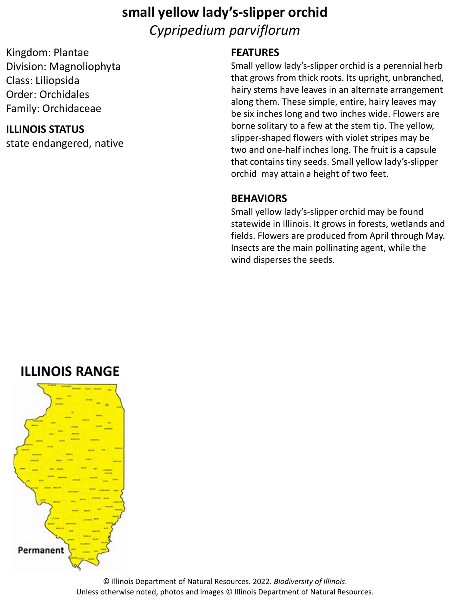### **small yellow lady's-slipper orchid** *Cypripedium parviflorum*

Kingdom: Plantae Division: Magnoliophyta Class: Liliopsida Order: Orchidales Family: Orchidaceae

#### **ILLINOIS STATUS**

state endangered, native

#### **FEATURES**

Small yellow lady's-slipper orchid is a perennial herb that grows from thick roots. Its upright, unbranched, hairy stems have leaves in an alternate arrangement along them. These simple, entire, hairy leaves may be six inches long and two inches wide. Flowers are borne solitary to a few at the stem tip. The yellow, slipper-shaped flowers with violet stripes may be two and one-half inches long. The fruit is a capsule that contains tiny seeds. Small yellow lady's-slipper orchid may attain a height of two feet.

#### **BEHAVIORS**

Small yellow lady's-slipper orchid may be found statewide in Illinois. It grows in forests, wetlands and fields. Flowers are produced from April through May. Insects are the main pollinating agent, while the wind disperses the seeds.

### **ILLINOIS RANGE**



© Illinois Department of Natural Resources. 2022. *Biodiversity of Illinois*. Unless otherwise noted, photos and images © Illinois Department of Natural Resources.